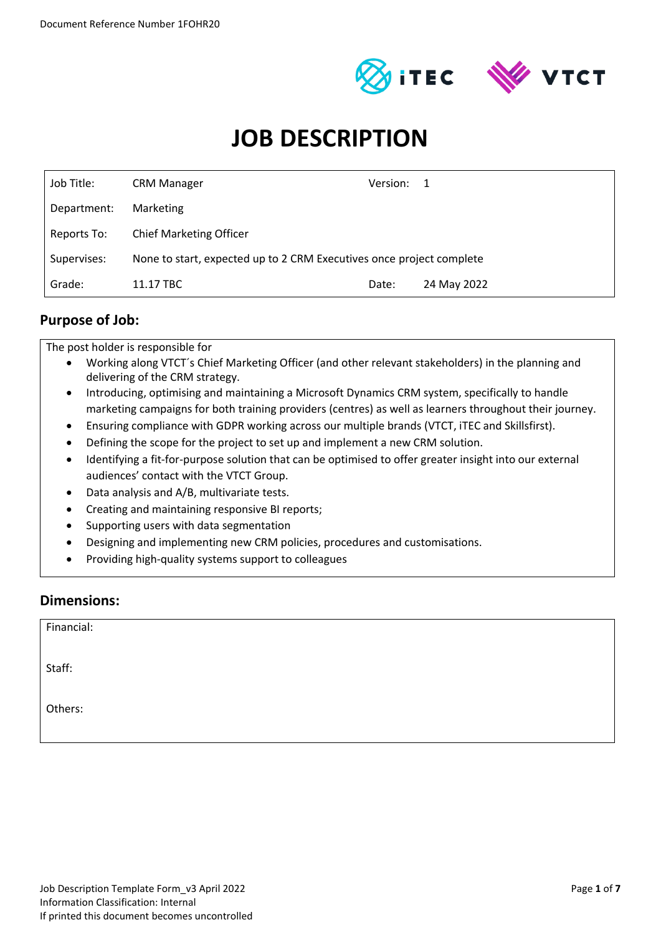



# **JOB DESCRIPTION**

| Job Title:  | <b>CRM Manager</b>                                                   | Version: 1 |             |
|-------------|----------------------------------------------------------------------|------------|-------------|
| Department: | Marketing                                                            |            |             |
| Reports To: | <b>Chief Marketing Officer</b>                                       |            |             |
| Supervises: | None to start, expected up to 2 CRM Executives once project complete |            |             |
| Grade:      | 11.17 TBC                                                            | Date:      | 24 May 2022 |

#### **Purpose of Job:**

The post holder is responsible for

- Working along VTCT´s Chief Marketing Officer (and other relevant stakeholders) in the planning and delivering of the CRM strategy.
- Introducing, optimising and maintaining a Microsoft Dynamics CRM system, specifically to handle marketing campaigns for both training providers (centres) as well as learners throughout their journey.
- Ensuring compliance with GDPR working across our multiple brands (VTCT, iTEC and Skillsfirst).
- Defining the scope for the project to set up and implement a new CRM solution.
- Identifying a fit-for-purpose solution that can be optimised to offer greater insight into our external audiences' contact with the VTCT Group.
- Data analysis and A/B, multivariate tests.
- Creating and maintaining responsive BI reports;
- Supporting users with data segmentation
- Designing and implementing new CRM policies, procedures and customisations.
- Providing high-quality systems support to colleagues

#### **Dimensions:**

| Financial: |  |
|------------|--|
| Staff:     |  |
| Others:    |  |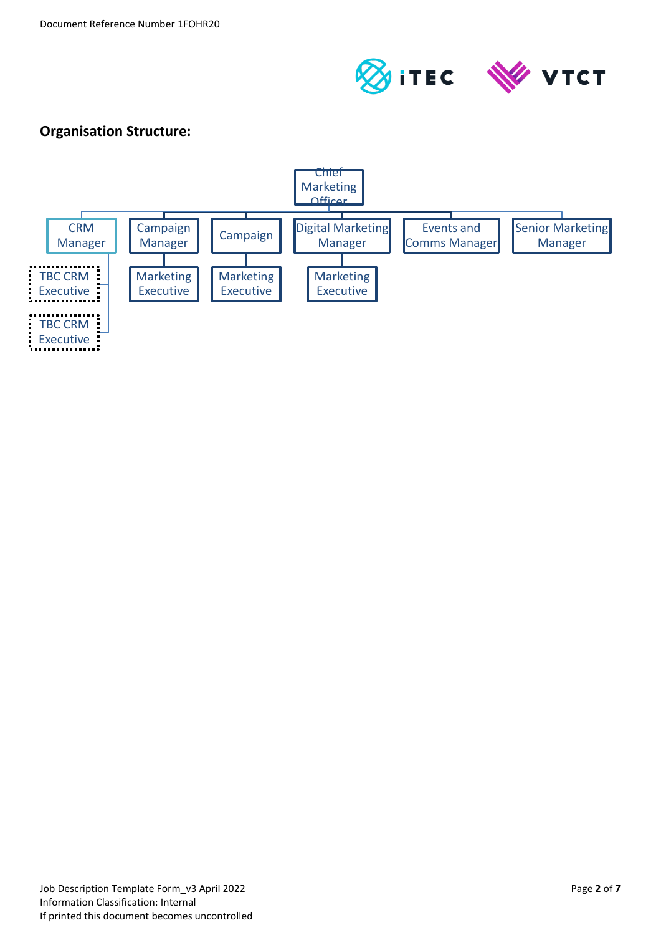

### **Organisation Structure:**

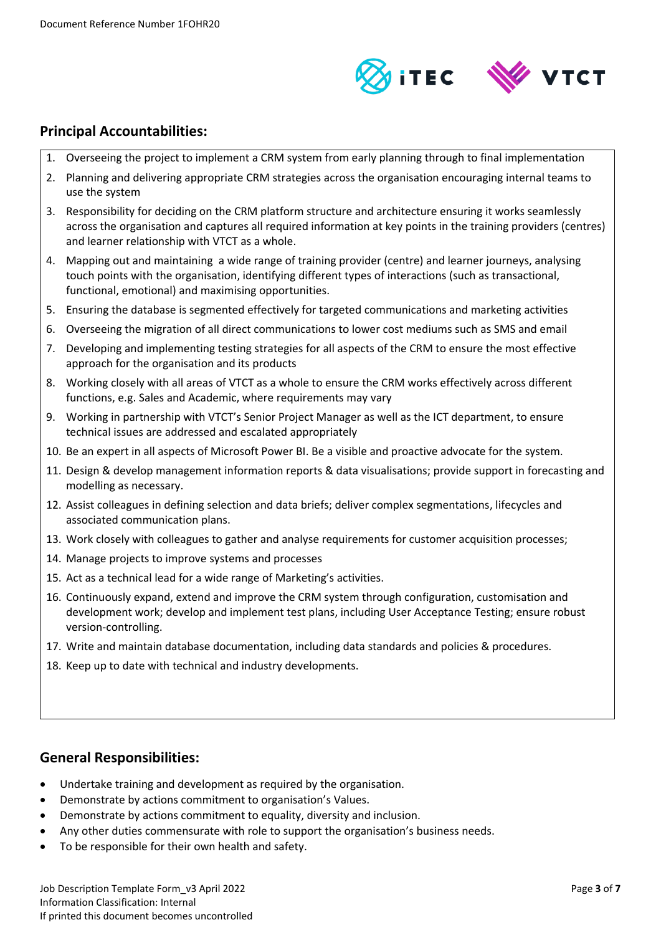

#### **Principal Accountabilities:**

- 1. Overseeing the project to implement a CRM system from early planning through to final implementation
- 2. Planning and delivering appropriate CRM strategies across the organisation encouraging internal teams to use the system
- 3. Responsibility for deciding on the CRM platform structure and architecture ensuring it works seamlessly across the organisation and captures all required information at key points in the training providers (centres) and learner relationship with VTCT as a whole.
- 4. Mapping out and maintaining a wide range of training provider (centre) and learner journeys, analysing touch points with the organisation, identifying different types of interactions (such as transactional, functional, emotional) and maximising opportunities.
- 5. Ensuring the database is segmented effectively for targeted communications and marketing activities
- 6. Overseeing the migration of all direct communications to lower cost mediums such as SMS and email
- 7. Developing and implementing testing strategies for all aspects of the CRM to ensure the most effective approach for the organisation and its products
- 8. Working closely with all areas of VTCT as a whole to ensure the CRM works effectively across different functions, e.g. Sales and Academic, where requirements may vary
- 9. Working in partnership with VTCT's Senior Project Manager as well as the ICT department, to ensure technical issues are addressed and escalated appropriately
- 10. Be an expert in all aspects of Microsoft Power BI. Be a visible and proactive advocate for the system.
- 11. Design & develop management information reports & data visualisations; provide support in forecasting and modelling as necessary.
- 12. Assist colleagues in defining selection and data briefs; deliver complex segmentations, lifecycles and associated communication plans.
- 13. Work closely with colleagues to gather and analyse requirements for customer acquisition processes;
- 14. Manage projects to improve systems and processes
- 15. Act as a technical lead for a wide range of Marketing's activities.
- 16. Continuously expand, extend and improve the CRM system through configuration, customisation and development work; develop and implement test plans, including User Acceptance Testing; ensure robust version-controlling.
- 17. Write and maintain database documentation, including data standards and policies & procedures.
- 18. Keep up to date with technical and industry developments.

#### **General Responsibilities:**

- Undertake training and development as required by the organisation.
- Demonstrate by actions commitment to organisation's Values.
- Demonstrate by actions commitment to equality, diversity and inclusion.
- Any other duties commensurate with role to support the organisation's business needs.
- To be responsible for their own health and safety.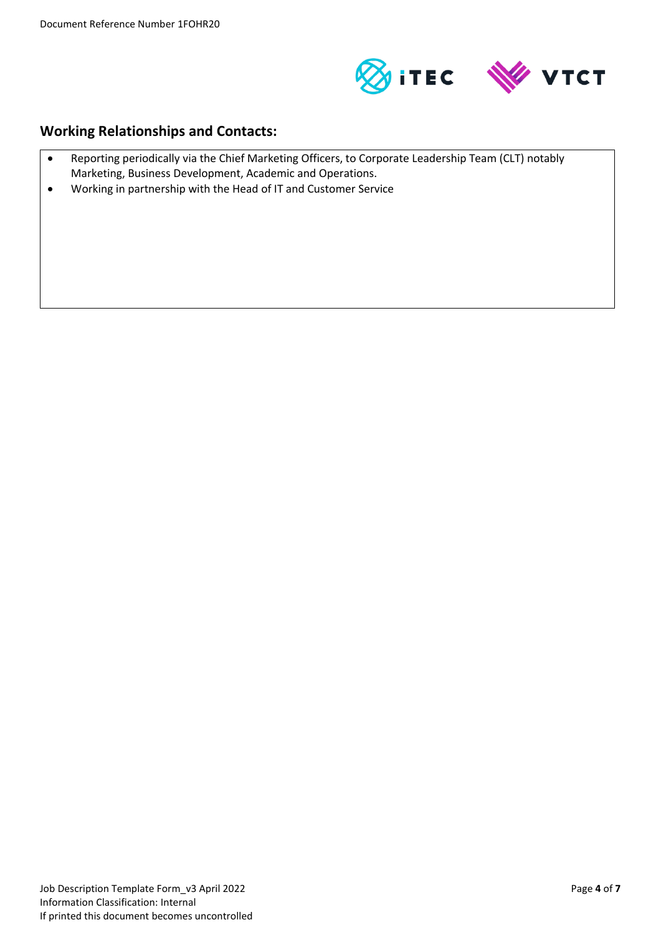

#### **Working Relationships and Contacts:**

- Reporting periodically via the Chief Marketing Officers, to Corporate Leadership Team (CLT) notably Marketing, Business Development, Academic and Operations.
- Working in partnership with the Head of IT and Customer Service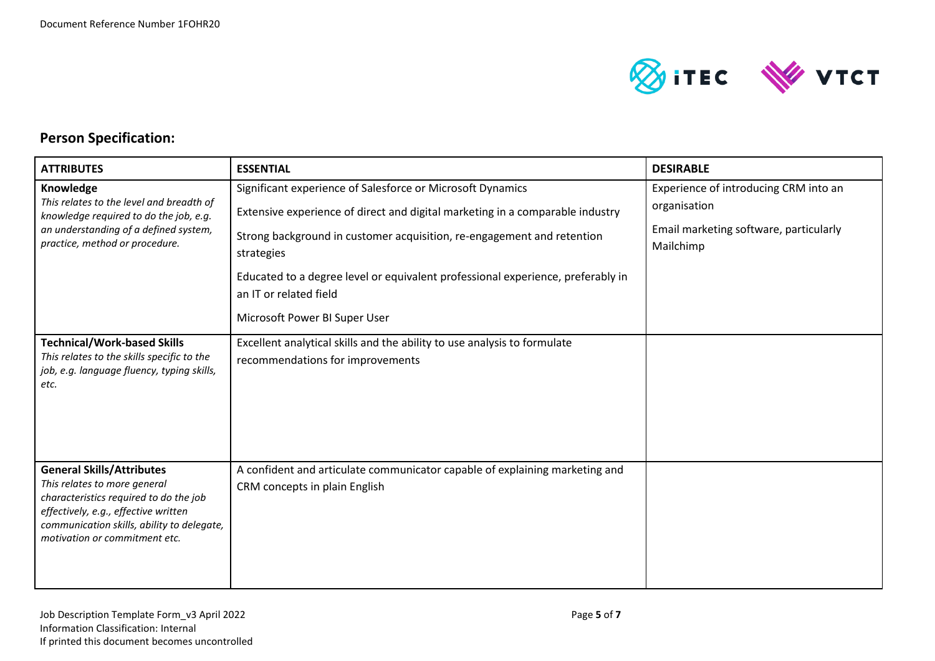

## **Person Specification:**

| <b>ATTRIBUTES</b>                                                                                                                                                                                                                 | <b>ESSENTIAL</b>                                                                                                                                                                                                                                                                                                                                 | <b>DESIRABLE</b>                                                                                             |
|-----------------------------------------------------------------------------------------------------------------------------------------------------------------------------------------------------------------------------------|--------------------------------------------------------------------------------------------------------------------------------------------------------------------------------------------------------------------------------------------------------------------------------------------------------------------------------------------------|--------------------------------------------------------------------------------------------------------------|
| Knowledge<br>This relates to the level and breadth of<br>knowledge required to do the job, e.g.<br>an understanding of a defined system,<br>practice, method or procedure.                                                        | Significant experience of Salesforce or Microsoft Dynamics<br>Extensive experience of direct and digital marketing in a comparable industry<br>Strong background in customer acquisition, re-engagement and retention<br>strategies<br>Educated to a degree level or equivalent professional experience, preferably in<br>an IT or related field | Experience of introducing CRM into an<br>organisation<br>Email marketing software, particularly<br>Mailchimp |
|                                                                                                                                                                                                                                   | Microsoft Power BI Super User                                                                                                                                                                                                                                                                                                                    |                                                                                                              |
| <b>Technical/Work-based Skills</b><br>This relates to the skills specific to the<br>job, e.g. language fluency, typing skills,<br>etc.                                                                                            | Excellent analytical skills and the ability to use analysis to formulate<br>recommendations for improvements                                                                                                                                                                                                                                     |                                                                                                              |
| <b>General Skills/Attributes</b><br>This relates to more general<br>characteristics required to do the job<br>effectively, e.g., effective written<br>communication skills, ability to delegate,<br>motivation or commitment etc. | A confident and articulate communicator capable of explaining marketing and<br>CRM concepts in plain English                                                                                                                                                                                                                                     |                                                                                                              |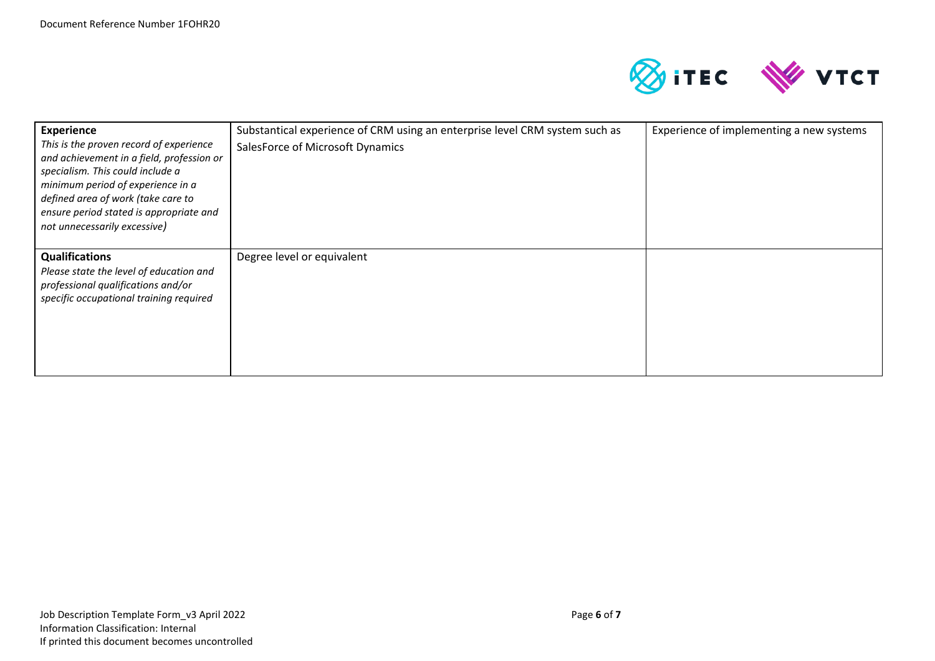

| <b>Experience</b><br>This is the proven record of experience<br>and achievement in a field, profession or<br>specialism. This could include a<br>minimum period of experience in a<br>defined area of work (take care to<br>ensure period stated is appropriate and<br>not unnecessarily excessive) | Substantical experience of CRM using an enterprise level CRM system such as<br>SalesForce of Microsoft Dynamics | Experience of implementing a new systems |
|-----------------------------------------------------------------------------------------------------------------------------------------------------------------------------------------------------------------------------------------------------------------------------------------------------|-----------------------------------------------------------------------------------------------------------------|------------------------------------------|
| <b>Qualifications</b><br>Please state the level of education and<br>professional qualifications and/or<br>specific occupational training required                                                                                                                                                   | Degree level or equivalent                                                                                      |                                          |